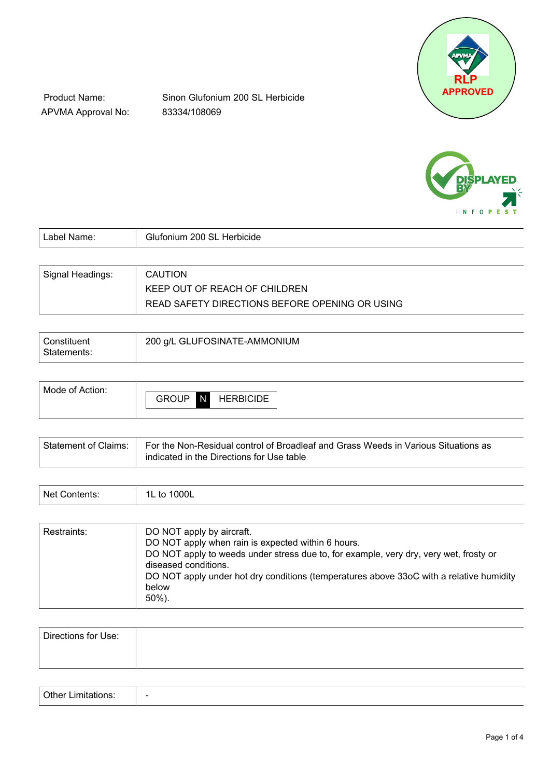

Product Name: APVMA Approval No:

Sinon Glufonium 200 SL Herbicide 83334/108069



| Label Name:      | Glufonium 200 SL Herbicide                     |
|------------------|------------------------------------------------|
|                  |                                                |
| Signal Headings: | <b>CAUTION</b>                                 |
|                  | KEEP OUT OF REACH OF CHILDREN                  |
|                  | READ SAFETY DIRECTIONS BEFORE OPENING OR USING |

| Constituent | 200 g/L GLUFOSINATE-AMMONIUM |
|-------------|------------------------------|
| Statements: |                              |

| Mode of Action: |                   |                  |
|-----------------|-------------------|------------------|
|                 | <b>GROUP</b><br>N | <b>HERBICIDE</b> |
|                 |                   |                  |

| $^\text{l}$ Statement of Claims: $\; \; \mid \;$ For the Non-Residual control of Broadleaf and Grass Weeds in Various Situations as<br>indicated in the Directions for Use table |
|----------------------------------------------------------------------------------------------------------------------------------------------------------------------------------|
|                                                                                                                                                                                  |

| ادا\<br>$     -$<br>∩nt≙nt<br>. | $\sim$ $\sim$<br>100 <sub>L</sub><br>$\overline{\phantom{a}}$ |
|---------------------------------|---------------------------------------------------------------|
|---------------------------------|---------------------------------------------------------------|

| Directions for Use: |  |
|---------------------|--|
|                     |  |

| $\overline{\phantom{0}}$ |
|--------------------------|
|                          |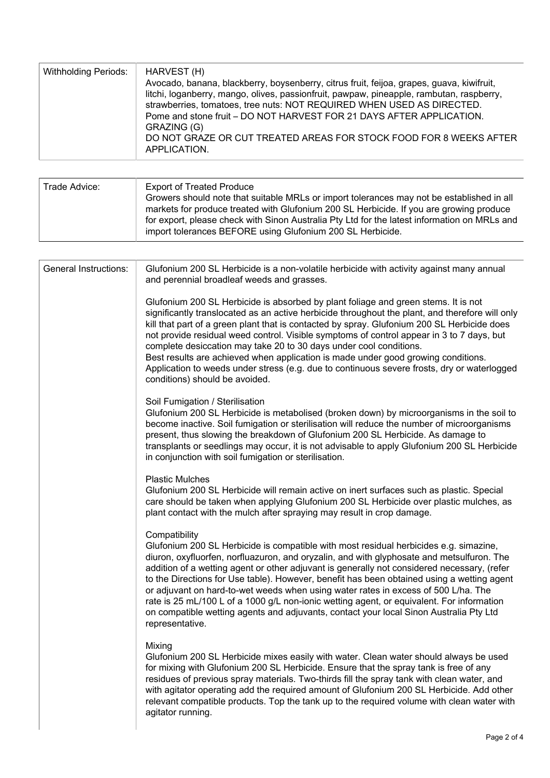| <b>Withholding Periods:</b> | HARVEST (H)<br>Avocado, banana, blackberry, boysenberry, citrus fruit, feijoa, grapes, guava, kiwifruit,<br>litchi, loganberry, mango, olives, passionfruit, pawpaw, pineapple, rambutan, raspberry,<br>strawberries, tomatoes, tree nuts: NOT REQUIRED WHEN USED AS DIRECTED.<br>Pome and stone fruit - DO NOT HARVEST FOR 21 DAYS AFTER APPLICATION.<br>GRAZING (G)<br>DO NOT GRAZE OR CUT TREATED AREAS FOR STOCK FOOD FOR 8 WEEKS AFTER<br>APPLICATION. |
|-----------------------------|-------------------------------------------------------------------------------------------------------------------------------------------------------------------------------------------------------------------------------------------------------------------------------------------------------------------------------------------------------------------------------------------------------------------------------------------------------------|
|                             |                                                                                                                                                                                                                                                                                                                                                                                                                                                             |

| import tolerances BEFORE using Glufonium 200 SL Herbicide. | Trade Advice: | <b>Export of Treated Produce</b><br>Growers should note that suitable MRLs or import tolerances may not be established in all<br>markets for produce treated with Glufonium 200 SL Herbicide. If you are growing produce<br>for export, please check with Sinon Australia Pty Ltd for the latest information on MRLs and |
|------------------------------------------------------------|---------------|--------------------------------------------------------------------------------------------------------------------------------------------------------------------------------------------------------------------------------------------------------------------------------------------------------------------------|
|------------------------------------------------------------|---------------|--------------------------------------------------------------------------------------------------------------------------------------------------------------------------------------------------------------------------------------------------------------------------------------------------------------------------|

| <b>General Instructions:</b> | Glufonium 200 SL Herbicide is a non-volatile herbicide with activity against many annual<br>and perennial broadleaf weeds and grasses.                                                                                                                                                                                                                                                                                                                                                                                                                                                                                                                                                           |
|------------------------------|--------------------------------------------------------------------------------------------------------------------------------------------------------------------------------------------------------------------------------------------------------------------------------------------------------------------------------------------------------------------------------------------------------------------------------------------------------------------------------------------------------------------------------------------------------------------------------------------------------------------------------------------------------------------------------------------------|
|                              | Glufonium 200 SL Herbicide is absorbed by plant foliage and green stems. It is not<br>significantly translocated as an active herbicide throughout the plant, and therefore will only<br>kill that part of a green plant that is contacted by spray. Glufonium 200 SL Herbicide does<br>not provide residual weed control. Visible symptoms of control appear in 3 to 7 days, but<br>complete desiccation may take 20 to 30 days under cool conditions.<br>Best results are achieved when application is made under good growing conditions.<br>Application to weeds under stress (e.g. due to continuous severe frosts, dry or waterlogged<br>conditions) should be avoided.                    |
|                              | Soil Fumigation / Sterilisation<br>Glufonium 200 SL Herbicide is metabolised (broken down) by microorganisms in the soil to<br>become inactive. Soil fumigation or sterilisation will reduce the number of microorganisms<br>present, thus slowing the breakdown of Glufonium 200 SL Herbicide. As damage to<br>transplants or seedlings may occur, it is not advisable to apply Glufonium 200 SL Herbicide<br>in conjunction with soil fumigation or sterilisation.                                                                                                                                                                                                                             |
|                              | <b>Plastic Mulches</b><br>Glufonium 200 SL Herbicide will remain active on inert surfaces such as plastic. Special<br>care should be taken when applying Glufonium 200 SL Herbicide over plastic mulches, as<br>plant contact with the mulch after spraying may result in crop damage.                                                                                                                                                                                                                                                                                                                                                                                                           |
|                              | Compatibility<br>Glufonium 200 SL Herbicide is compatible with most residual herbicides e.g. simazine,<br>diuron, oxyfluorfen, norfluazuron, and oryzalin, and with glyphosate and metsulfuron. The<br>addition of a wetting agent or other adjuvant is generally not considered necessary, (refer<br>to the Directions for Use table). However, benefit has been obtained using a wetting agent<br>or adjuvant on hard-to-wet weeds when using water rates in excess of 500 L/ha. The<br>rate is 25 mL/100 L of a 1000 g/L non-ionic wetting agent, or equivalent. For information<br>on compatible wetting agents and adjuvants, contact your local Sinon Australia Pty Ltd<br>representative. |
|                              | Mixing<br>Glufonium 200 SL Herbicide mixes easily with water. Clean water should always be used<br>for mixing with Glufonium 200 SL Herbicide. Ensure that the spray tank is free of any<br>residues of previous spray materials. Two-thirds fill the spray tank with clean water, and<br>with agitator operating add the required amount of Glufonium 200 SL Herbicide. Add other<br>relevant compatible products. Top the tank up to the required volume with clean water with<br>agitator running.                                                                                                                                                                                            |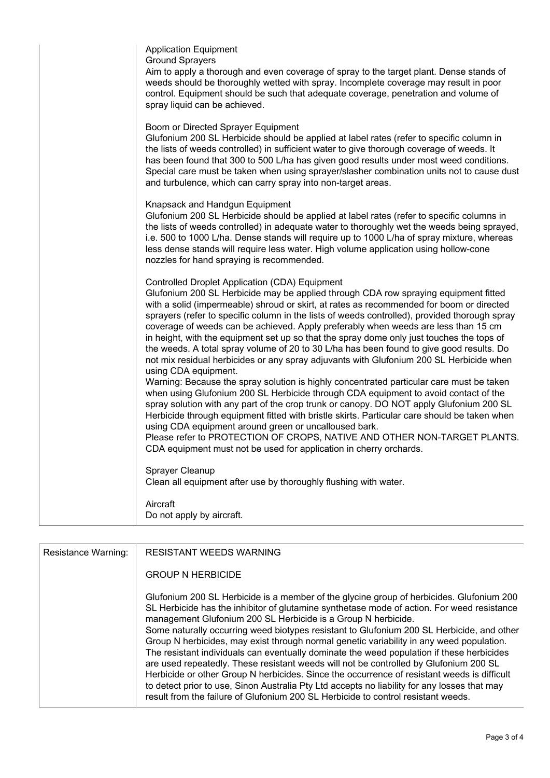| <b>Application Equipment</b><br><b>Ground Sprayers</b><br>Aim to apply a thorough and even coverage of spray to the target plant. Dense stands of<br>weeds should be thoroughly wetted with spray. Incomplete coverage may result in poor<br>control. Equipment should be such that adequate coverage, penetration and volume of<br>spray liquid can be achieved.                                                                                                                                                                                                                                                                                                                                                                                                                                                                                                                                                                                                                                                                                                                                                                                                                                                                                                                                                                                       |
|---------------------------------------------------------------------------------------------------------------------------------------------------------------------------------------------------------------------------------------------------------------------------------------------------------------------------------------------------------------------------------------------------------------------------------------------------------------------------------------------------------------------------------------------------------------------------------------------------------------------------------------------------------------------------------------------------------------------------------------------------------------------------------------------------------------------------------------------------------------------------------------------------------------------------------------------------------------------------------------------------------------------------------------------------------------------------------------------------------------------------------------------------------------------------------------------------------------------------------------------------------------------------------------------------------------------------------------------------------|
| Boom or Directed Sprayer Equipment<br>Glufonium 200 SL Herbicide should be applied at label rates (refer to specific column in<br>the lists of weeds controlled) in sufficient water to give thorough coverage of weeds. It<br>has been found that 300 to 500 L/ha has given good results under most weed conditions.<br>Special care must be taken when using sprayer/slasher combination units not to cause dust<br>and turbulence, which can carry spray into non-target areas.                                                                                                                                                                                                                                                                                                                                                                                                                                                                                                                                                                                                                                                                                                                                                                                                                                                                      |
| Knapsack and Handgun Equipment<br>Glufonium 200 SL Herbicide should be applied at label rates (refer to specific columns in<br>the lists of weeds controlled) in adequate water to thoroughly wet the weeds being sprayed,<br>i.e. 500 to 1000 L/ha. Dense stands will require up to 1000 L/ha of spray mixture, whereas<br>less dense stands will require less water. High volume application using hollow-cone<br>nozzles for hand spraying is recommended.                                                                                                                                                                                                                                                                                                                                                                                                                                                                                                                                                                                                                                                                                                                                                                                                                                                                                           |
| <b>Controlled Droplet Application (CDA) Equipment</b><br>Glufonium 200 SL Herbicide may be applied through CDA row spraying equipment fitted<br>with a solid (impermeable) shroud or skirt, at rates as recommended for boom or directed<br>sprayers (refer to specific column in the lists of weeds controlled), provided thorough spray<br>coverage of weeds can be achieved. Apply preferably when weeds are less than 15 cm<br>in height, with the equipment set up so that the spray dome only just touches the tops of<br>the weeds. A total spray volume of 20 to 30 L/ha has been found to give good results. Do<br>not mix residual herbicides or any spray adjuvants with Glufonium 200 SL Herbicide when<br>using CDA equipment.<br>Warning: Because the spray solution is highly concentrated particular care must be taken<br>when using Glufonium 200 SL Herbicide through CDA equipment to avoid contact of the<br>spray solution with any part of the crop trunk or canopy. DO NOT apply Glufonium 200 SL<br>Herbicide through equipment fitted with bristle skirts. Particular care should be taken when<br>using CDA equipment around green or uncalloused bark.<br>Please refer to PROTECTION OF CROPS, NATIVE AND OTHER NON-TARGET PLANTS.<br>CDA equipment must not be used for application in cherry orchards.<br>Sprayer Cleanup |
| Clean all equipment after use by thoroughly flushing with water.<br>Aircraft                                                                                                                                                                                                                                                                                                                                                                                                                                                                                                                                                                                                                                                                                                                                                                                                                                                                                                                                                                                                                                                                                                                                                                                                                                                                            |
| Do not apply by aircraft.                                                                                                                                                                                                                                                                                                                                                                                                                                                                                                                                                                                                                                                                                                                                                                                                                                                                                                                                                                                                                                                                                                                                                                                                                                                                                                                               |

| Resistance Warning: | <b>RESISTANT WEEDS WARNING</b>                                                                                                                                                                                                                                                                                                                                                                                                                                                                                                                                                                                                                                                                                                                                                                                                                                                                                             |
|---------------------|----------------------------------------------------------------------------------------------------------------------------------------------------------------------------------------------------------------------------------------------------------------------------------------------------------------------------------------------------------------------------------------------------------------------------------------------------------------------------------------------------------------------------------------------------------------------------------------------------------------------------------------------------------------------------------------------------------------------------------------------------------------------------------------------------------------------------------------------------------------------------------------------------------------------------|
|                     | <b>GROUP N HERBICIDE</b>                                                                                                                                                                                                                                                                                                                                                                                                                                                                                                                                                                                                                                                                                                                                                                                                                                                                                                   |
|                     | Glufonium 200 SL Herbicide is a member of the glycine group of herbicides. Glufonium 200<br>SL Herbicide has the inhibitor of glutamine synthetase mode of action. For weed resistance<br>management Glufonium 200 SL Herbicide is a Group N herbicide.<br>Some naturally occurring weed biotypes resistant to Glufonium 200 SL Herbicide, and other<br>Group N herbicides, may exist through normal genetic variability in any weed population.<br>The resistant individuals can eventually dominate the weed population if these herbicides<br>are used repeatedly. These resistant weeds will not be controlled by Glufonium 200 SL<br>Herbicide or other Group N herbicides. Since the occurrence of resistant weeds is difficult<br>to detect prior to use, Sinon Australia Pty Ltd accepts no liability for any losses that may<br>result from the failure of Glufonium 200 SL Herbicide to control resistant weeds. |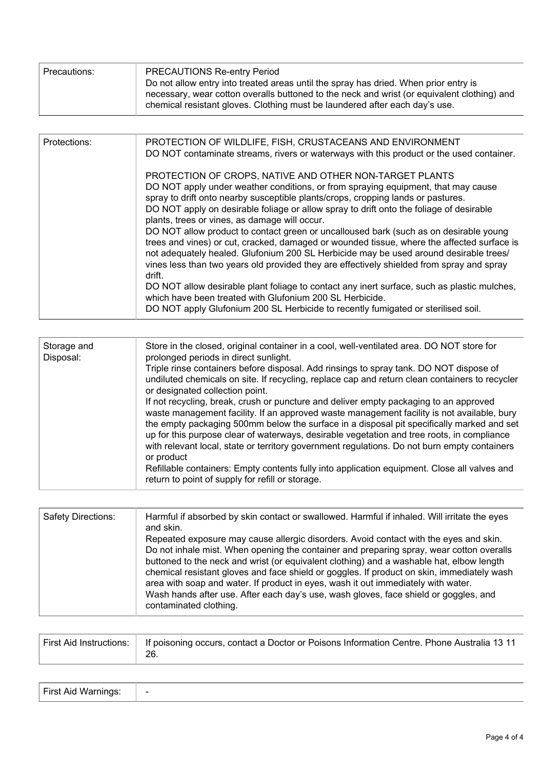| Precautions: | <b>PRECAUTIONS Re-entry Period</b><br>Do not allow entry into treated areas until the spray has dried. When prior entry is<br>necessary, wear cotton overalls buttoned to the neck and wrist (or equivalent clothing) and<br>chemical resistant gloves. Clothing must be laundered after each day's use. |
|--------------|----------------------------------------------------------------------------------------------------------------------------------------------------------------------------------------------------------------------------------------------------------------------------------------------------------|
|              |                                                                                                                                                                                                                                                                                                          |

| Protections: | PROTECTION OF WILDLIFE, FISH, CRUSTACEANS AND ENVIRONMENT<br>DO NOT contaminate streams, rivers or waterways with this product or the used container.                                                                                                                                                                                                                                                                                                                                                                                                                                                                                                                                                                                                                                                                                                                                                                                                                                                               |
|--------------|---------------------------------------------------------------------------------------------------------------------------------------------------------------------------------------------------------------------------------------------------------------------------------------------------------------------------------------------------------------------------------------------------------------------------------------------------------------------------------------------------------------------------------------------------------------------------------------------------------------------------------------------------------------------------------------------------------------------------------------------------------------------------------------------------------------------------------------------------------------------------------------------------------------------------------------------------------------------------------------------------------------------|
|              | PROTECTION OF CROPS, NATIVE AND OTHER NON-TARGET PLANTS<br>DO NOT apply under weather conditions, or from spraying equipment, that may cause<br>spray to drift onto nearby susceptible plants/crops, cropping lands or pastures.<br>DO NOT apply on desirable foliage or allow spray to drift onto the foliage of desirable<br>plants, trees or vines, as damage will occur.<br>DO NOT allow product to contact green or uncalloused bark (such as on desirable young<br>trees and vines) or cut, cracked, damaged or wounded tissue, where the affected surface is<br>not adequately healed. Glufonium 200 SL Herbicide may be used around desirable trees/<br>vines less than two years old provided they are effectively shielded from spray and spray<br>drift.<br>DO NOT allow desirable plant foliage to contact any inert surface, such as plastic mulches,<br>which have been treated with Glufonium 200 SL Herbicide.<br>DO NOT apply Glufonium 200 SL Herbicide to recently fumigated or sterilised soil. |

| Storage and<br>Disposal: | Store in the closed, original container in a cool, well-ventilated area. DO NOT store for<br>prolonged periods in direct sunlight.<br>Triple rinse containers before disposal. Add rinsings to spray tank. DO NOT dispose of<br>undiluted chemicals on site. If recycling, replace cap and return clean containers to recycler<br>or designated collection point.<br>If not recycling, break, crush or puncture and deliver empty packaging to an approved<br>waste management facility. If an approved waste management facility is not available, bury<br>the empty packaging 500mm below the surface in a disposal pit specifically marked and set<br>up for this purpose clear of waterways, desirable vegetation and tree roots, in compliance<br>with relevant local, state or territory government regulations. Do not burn empty containers |
|--------------------------|-----------------------------------------------------------------------------------------------------------------------------------------------------------------------------------------------------------------------------------------------------------------------------------------------------------------------------------------------------------------------------------------------------------------------------------------------------------------------------------------------------------------------------------------------------------------------------------------------------------------------------------------------------------------------------------------------------------------------------------------------------------------------------------------------------------------------------------------------------|
|                          | or product<br>Refillable containers: Empty contents fully into application equipment. Close all valves and<br>return to point of supply for refill or storage.                                                                                                                                                                                                                                                                                                                                                                                                                                                                                                                                                                                                                                                                                      |

| <b>Safety Directions:</b> | Harmful if absorbed by skin contact or swallowed. Harmful if inhaled. Will irritate the eyes<br>and skin.                                                                                                                                                                                                                                                               |
|---------------------------|-------------------------------------------------------------------------------------------------------------------------------------------------------------------------------------------------------------------------------------------------------------------------------------------------------------------------------------------------------------------------|
|                           | Repeated exposure may cause allergic disorders. Avoid contact with the eyes and skin.                                                                                                                                                                                                                                                                                   |
|                           |                                                                                                                                                                                                                                                                                                                                                                         |
|                           |                                                                                                                                                                                                                                                                                                                                                                         |
|                           |                                                                                                                                                                                                                                                                                                                                                                         |
|                           | Wash hands after use. After each day's use, wash gloves, face shield or goggles, and                                                                                                                                                                                                                                                                                    |
|                           | contaminated clothing.                                                                                                                                                                                                                                                                                                                                                  |
|                           | Do not inhale mist. When opening the container and preparing spray, wear cotton overalls<br>buttoned to the neck and wrist (or equivalent clothing) and a washable hat, elbow length<br>chemical resistant gloves and face shield or goggles. If product on skin, immediately wash<br>area with soap and water. If product in eyes, wash it out immediately with water. |

| First Aid Instructions:<br>  If poisoning occurs, contact a Doctor or Poisons Information Centre. Phone Australia 13 11<br>26. |
|--------------------------------------------------------------------------------------------------------------------------------|
|--------------------------------------------------------------------------------------------------------------------------------|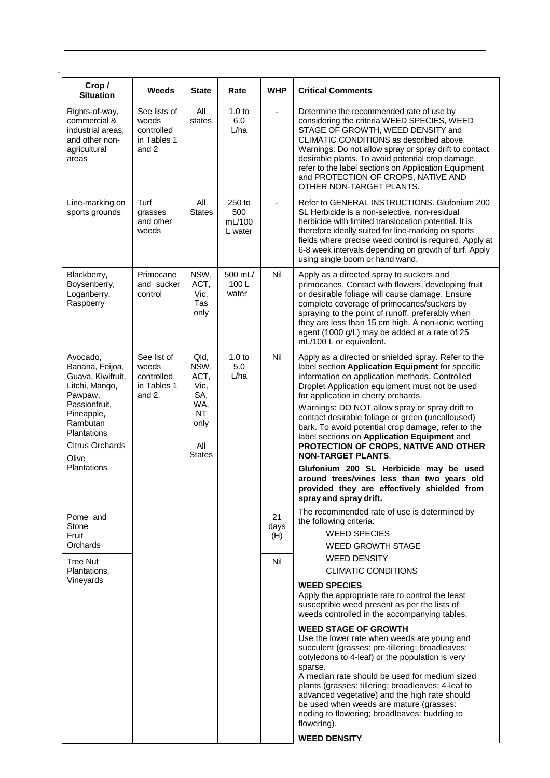| Crop/<br><b>Situation</b>                                                                                                                                                  | Weeds                                                       | <b>State</b>                                                                            | Rate                               | <b>WHP</b>        | <b>Critical Comments</b>                                                                                                                                                                                                                                                                                                                                                                                                                                                                                                            |
|----------------------------------------------------------------------------------------------------------------------------------------------------------------------------|-------------------------------------------------------------|-----------------------------------------------------------------------------------------|------------------------------------|-------------------|-------------------------------------------------------------------------------------------------------------------------------------------------------------------------------------------------------------------------------------------------------------------------------------------------------------------------------------------------------------------------------------------------------------------------------------------------------------------------------------------------------------------------------------|
| Rights-of-way,<br>commercial &<br>industrial areas.<br>and other non-<br>agricultural<br>areas                                                                             | See lists of<br>weeds<br>controlled<br>in Tables 1<br>and 2 | All<br>states                                                                           | 1.0 <sub>to</sub><br>6.0<br>L/ha   | ä,                | Determine the recommended rate of use by<br>considering the criteria WEED SPECIES, WEED<br>STAGE OF GROWTH, WEED DENSITY and<br>CLIMATIC CONDITIONS as described above.<br>Warnings: Do not allow spray or spray drift to contact<br>desirable plants. To avoid potential crop damage,<br>refer to the label sections on Application Equipment<br>and PROTECTION OF CROPS, NATIVE AND<br>OTHER NON-TARGET PLANTS.                                                                                                                   |
| Line-marking on<br>sports grounds                                                                                                                                          | Turf<br>grasses<br>and other<br>weeds                       | All<br><b>States</b>                                                                    | 250 to<br>500<br>mL/100<br>L water | ä,                | Refer to GENERAL INSTRUCTIONS. Glufonium 200<br>SL Herbicide is a non-selective, non-residual<br>herbicide with limited translocation potential. It is<br>therefore ideally suited for line-marking on sports<br>fields where precise weed control is required. Apply at<br>6-8 week intervals depending on growth of turf. Apply<br>using single boom or hand wand.                                                                                                                                                                |
| Blackberry,<br>Boysenberry,<br>Loganberry,<br>Raspberry                                                                                                                    | Primocane<br>and sucker<br>control                          | NSW,<br>ACT,<br>Vic,<br>Tas<br>only                                                     | 500 mL/<br>100L<br>water           | Nil               | Apply as a directed spray to suckers and<br>primocanes. Contact with flowers, developing fruit<br>or desirable foliage will cause damage. Ensure<br>complete coverage of primocanes/suckers by<br>spraying to the point of runoff, preferably when<br>they are less than 15 cm high. A non-ionic wetting<br>agent (1000 g/L) may be added at a rate of 25<br>mL/100 L or equivalent.                                                                                                                                                |
| Avocado,<br>Banana, Feijoa,<br>Guava, Kiwifruit,<br>Litchi, Mango,<br>Pawpaw,<br>Passionfruit,<br>Pineapple,<br>Rambutan<br>Plantations<br><b>Citrus Orchards</b><br>Olive | See list of<br>weeds<br>controlled<br>in Tables 1<br>and 2. | Qld,<br>NSW,<br>ACT,<br>Vic,<br>SA,<br>WA,<br><b>NT</b><br>only<br>All<br><b>States</b> | 1.0 <sub>to</sub><br>5.0<br>L/ha   | Nil               | Apply as a directed or shielded spray. Refer to the<br>label section Application Equipment for specific<br>information on application methods. Controlled<br>Droplet Application equipment must not be used<br>for application in cherry orchards.<br>Warnings: DO NOT allow spray or spray drift to<br>contact desirable foliage or green (uncalloused)<br>bark. To avoid potential crop damage, refer to the<br>label sections on Application Equipment and<br>PROTECTION OF CROPS, NATIVE AND OTHER<br><b>NON-TARGET PLANTS.</b> |
| Plantations                                                                                                                                                                |                                                             |                                                                                         |                                    |                   | Glufonium 200 SL Herbicide may be used<br>around trees/vines less than two years old<br>provided they are effectively shielded from<br>spray and spray drift.                                                                                                                                                                                                                                                                                                                                                                       |
| Pome and<br>Stone<br>Fruit<br>Orchards                                                                                                                                     |                                                             |                                                                                         |                                    | 21<br>days<br>(H) | The recommended rate of use is determined by<br>the following criteria:<br><b>WEED SPECIES</b><br><b>WEED GROWTH STAGE</b>                                                                                                                                                                                                                                                                                                                                                                                                          |
| <b>Tree Nut</b><br>Plantations,                                                                                                                                            |                                                             |                                                                                         |                                    | Nil               | <b>WEED DENSITY</b><br><b>CLIMATIC CONDITIONS</b>                                                                                                                                                                                                                                                                                                                                                                                                                                                                                   |
| Vineyards                                                                                                                                                                  |                                                             |                                                                                         |                                    |                   | <b>WEED SPECIES</b><br>Apply the appropriate rate to control the least<br>susceptible weed present as per the lists of<br>weeds controlled in the accompanying tables.                                                                                                                                                                                                                                                                                                                                                              |
|                                                                                                                                                                            |                                                             |                                                                                         |                                    |                   | <b>WEED STAGE OF GROWTH</b><br>Use the lower rate when weeds are young and<br>succulent (grasses: pre-tillering; broadleaves:<br>cotyledons to 4-leaf) or the population is very<br>sparse.<br>A median rate should be used for medium sized<br>plants (grasses: tillering; broadleaves: 4-leaf to<br>advanced vegetative) and the high rate should<br>be used when weeds are mature (grasses:<br>noding to flowering; broadleaves: budding to<br>flowering).<br><b>WEED DENSITY</b>                                                |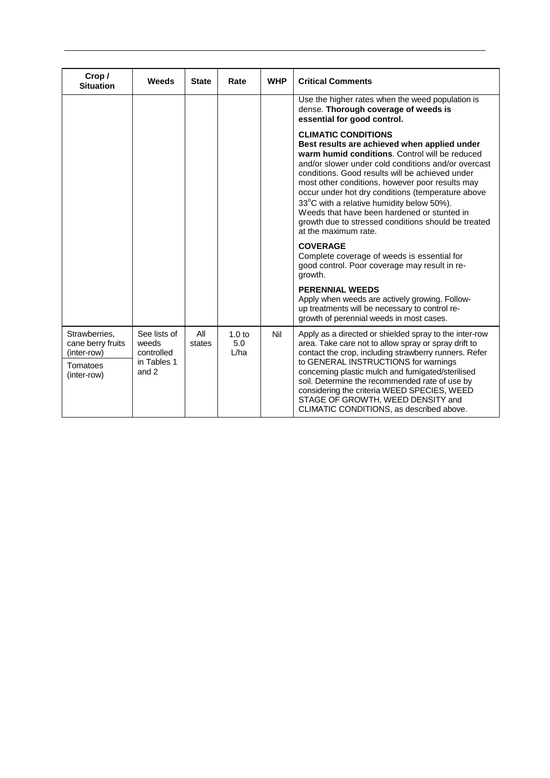| Crop/<br><b>Situation</b>                                                    | Weeds                                                       | <b>State</b>  | Rate                             | <b>WHP</b> | <b>Critical Comments</b>                                                                                                                                                                                                                                                                                                                                                                                                                                                                                                  |
|------------------------------------------------------------------------------|-------------------------------------------------------------|---------------|----------------------------------|------------|---------------------------------------------------------------------------------------------------------------------------------------------------------------------------------------------------------------------------------------------------------------------------------------------------------------------------------------------------------------------------------------------------------------------------------------------------------------------------------------------------------------------------|
|                                                                              |                                                             |               |                                  |            | Use the higher rates when the weed population is<br>dense. Thorough coverage of weeds is<br>essential for good control.                                                                                                                                                                                                                                                                                                                                                                                                   |
|                                                                              |                                                             |               |                                  |            | <b>CLIMATIC CONDITIONS</b><br>Best results are achieved when applied under<br>warm humid conditions. Control will be reduced<br>and/or slower under cold conditions and/or overcast<br>conditions. Good results will be achieved under<br>most other conditions, however poor results may<br>occur under hot dry conditions (temperature above<br>33°C with a relative humidity below 50%).<br>Weeds that have been hardened or stunted in<br>growth due to stressed conditions should be treated<br>at the maximum rate. |
|                                                                              |                                                             |               |                                  |            | <b>COVERAGE</b><br>Complete coverage of weeds is essential for<br>good control. Poor coverage may result in re-<br>growth.                                                                                                                                                                                                                                                                                                                                                                                                |
|                                                                              |                                                             |               |                                  |            | <b>PERENNIAL WEEDS</b><br>Apply when weeds are actively growing. Follow-<br>up treatments will be necessary to control re-<br>growth of perennial weeds in most cases.                                                                                                                                                                                                                                                                                                                                                    |
| Strawberries,<br>cane berry fruits<br>(inter-row)<br>Tomatoes<br>(inter-row) | See lists of<br>weeds<br>controlled<br>in Tables 1<br>and 2 | All<br>states | 1.0 <sub>to</sub><br>5.0<br>L/ha | Nil        | Apply as a directed or shielded spray to the inter-row<br>area. Take care not to allow spray or spray drift to<br>contact the crop, including strawberry runners. Refer<br>to GENERAL INSTRUCTIONS for warnings<br>concerning plastic mulch and fumigated/sterilised<br>soil. Determine the recommended rate of use by<br>considering the criteria WEED SPECIES, WEED<br>STAGE OF GROWTH, WEED DENSITY and<br>CLIMATIC CONDITIONS, as described above.                                                                    |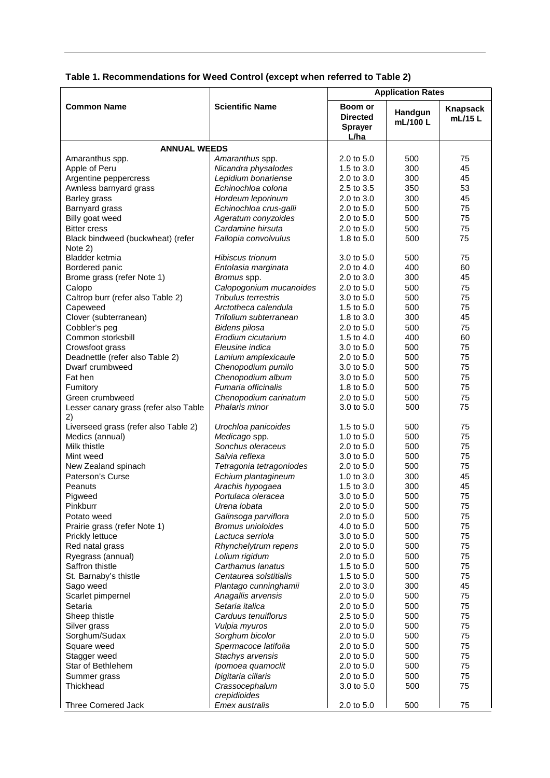| Table 1. Recommendations for Weed Control (except when referred to Table 2) |  |  |
|-----------------------------------------------------------------------------|--|--|
|-----------------------------------------------------------------------------|--|--|

|                                              |                                        | <b>Application Rates</b>                                    |                    |                     |  |
|----------------------------------------------|----------------------------------------|-------------------------------------------------------------|--------------------|---------------------|--|
| <b>Common Name</b>                           | <b>Scientific Name</b>                 | <b>Boom or</b><br><b>Directed</b><br><b>Sprayer</b><br>L/ha | Handgun<br>mL/100L | Knapsack<br>mL/15 L |  |
| <b>ANNUAL WEEDS</b>                          |                                        |                                                             |                    |                     |  |
| Amaranthus spp.                              | Amaranthus spp.                        | 2.0 to 5.0                                                  | 500                | 75                  |  |
| Apple of Peru                                | Nicandra physalodes                    | 1.5 to 3.0                                                  | 300                | 45                  |  |
| Argentine peppercress                        | Lepidium bonariense                    | 2.0 to 3.0                                                  | 300                | 45                  |  |
| Awnless barnyard grass                       | Echinochloa colona                     | 2.5 to 3.5                                                  | 350                | 53                  |  |
| Barley grass                                 | Hordeum leporinum                      | 2.0 to 3.0                                                  | 300                | 45                  |  |
| Barnyard grass                               | Echinochloa crus-galli                 | 2.0 to 5.0                                                  | 500                | 75                  |  |
| Billy goat weed                              | Ageratum conyzoides                    | 2.0 to 5.0                                                  | 500                | 75                  |  |
| <b>Bitter cress</b>                          | Cardamine hirsuta                      | 2.0 to 5.0                                                  | 500                | 75                  |  |
| Black bindweed (buckwheat) (refer<br>Note 2) | Fallopia convolvulus                   | 1.8 to 5.0                                                  | 500                | 75                  |  |
| Bladder ketmia                               | Hibiscus trionum                       | 3.0 to 5.0                                                  | 500                | 75                  |  |
| Bordered panic                               | Entolasia marginata                    | 2.0 to 4.0                                                  | 400                | 60                  |  |
| Brome grass (refer Note 1)                   | Bromus spp.                            | 2.0 to 3.0                                                  | 300                | 45                  |  |
| Calopo                                       | Calopogonium mucanoides                | 2.0 to 5.0                                                  | 500                | 75                  |  |
| Caltrop burr (refer also Table 2)            | Tribulus terrestris                    | 3.0 to 5.0                                                  | 500                | 75                  |  |
| Capeweed                                     | Arctotheca calendula                   | 1.5 to 5.0                                                  | 500                | 75                  |  |
| Clover (subterranean)                        | Trifolium subterranean                 | 1.8 to 3.0                                                  | 300                | 45                  |  |
| Cobbler's peg                                | Bidens pilosa                          | 2.0 to 5.0                                                  | 500                | 75                  |  |
| Common storksbill                            | Erodium cicutarium                     | 1.5 to 4.0                                                  | 400                | 60                  |  |
| Crowsfoot grass                              | Eleusine indica                        | 3.0 to 5.0                                                  | 500                | 75                  |  |
| Deadnettle (refer also Table 2)              | Lamium amplexicaule                    | 2.0 to 5.0                                                  | 500                | 75                  |  |
| Dwarf crumbweed                              | Chenopodium pumilo                     | 3.0 to 5.0                                                  | 500                | 75                  |  |
| Fat hen                                      | Chenopodium album                      | 3.0 to 5.0                                                  | 500                | 75                  |  |
| Fumitory                                     | Fumaria officinalis                    | 1.8 to 5.0                                                  | 500                | 75                  |  |
| Green crumbweed                              | Chenopodium carinatum                  | 2.0 to 5.0                                                  | 500                | 75                  |  |
| Lesser canary grass (refer also Table<br>2)  | Phalaris minor                         | 3.0 to 5.0                                                  | 500                | 75                  |  |
| Liverseed grass (refer also Table 2)         | Urochloa panicoides                    | 1.5 to 5.0                                                  | 500                | 75                  |  |
| Medics (annual)                              | Medicago spp.                          | 1.0 to $5.0$                                                | 500                | 75                  |  |
| Milk thistle                                 | Sonchus oleraceus                      | 2.0 to 5.0                                                  | 500                | 75                  |  |
| Mint weed                                    | Salvia reflexa                         | 3.0 to 5.0                                                  | 500                | 75                  |  |
| New Zealand spinach                          | Tetragonia tetragoniodes               | 2.0 to 5.0                                                  | 500                | 75                  |  |
| Paterson's Curse<br>Peanuts                  | Echium plantagineum                    | 1.0 to 3.0                                                  | 300                | 45<br>45            |  |
|                                              | Arachis hypogaea<br>Portulaca oleracea | 1.5 to 3.0<br>3.0 to 5.0                                    | 300<br>500         | 75                  |  |
| Pigweed<br>Pinkburr                          | Urena lobata                           | 2.0 to 5.0                                                  | 500                | 75                  |  |
| Potato weed                                  | Galinsoga parviflora                   | 2.0 to 5.0                                                  | 500                | 75                  |  |
| Prairie grass (refer Note 1)                 | <b>Bromus unioloides</b>               | 4.0 to 5.0                                                  | 500                | 75                  |  |
| Prickly lettuce                              | Lactuca serriola                       | 3.0 to 5.0                                                  | 500                | 75                  |  |
| Red natal grass                              | Rhynchelytrum repens                   | 2.0 to 5.0                                                  | 500                | 75                  |  |
| Ryegrass (annual)                            | Lolium rigidum                         | 2.0 to 5.0                                                  | 500                | 75                  |  |
| Saffron thistle                              | Carthamus lanatus                      | 1.5 to 5.0                                                  | 500                | 75                  |  |
| St. Barnaby's thistle                        | Centaurea solstitialis                 | 1.5 to 5.0                                                  | 500                | 75                  |  |
| Sago weed                                    | Plantago cunninghamii                  | 2.0 to 3.0                                                  | 300                | 45                  |  |
| Scarlet pimpernel                            | Anagallis arvensis                     | 2.0 to 5.0                                                  | 500                | 75                  |  |
| Setaria                                      | Setaria italica                        | 2.0 to 5.0                                                  | 500                | 75                  |  |
| Sheep thistle                                | Carduus tenuiflorus                    | 2.5 to 5.0                                                  | 500                | 75                  |  |
| Silver grass                                 | Vulpia myuros                          | 2.0 to 5.0                                                  | 500                | 75                  |  |
| Sorghum/Sudax                                | Sorghum bicolor                        | 2.0 to 5.0                                                  | 500                | 75                  |  |
| Square weed                                  | Spermacoce latifolia                   | 2.0 to 5.0                                                  | 500                | 75                  |  |
| Stagger weed                                 | Stachys arvensis                       | 2.0 to 5.0                                                  | 500                | 75                  |  |
| Star of Bethlehem                            | Ipomoea quamoclit                      | 2.0 to 5.0                                                  | 500                | 75                  |  |
| Summer grass                                 | Digitaria cillaris                     | 2.0 to 5.0                                                  | 500                | 75                  |  |
| Thickhead                                    | Crassocephalum<br>crepidioides         | 3.0 to 5.0                                                  | 500                | 75                  |  |
| Three Cornered Jack                          | Emex australis                         | 2.0 to 5.0                                                  | 500                | 75                  |  |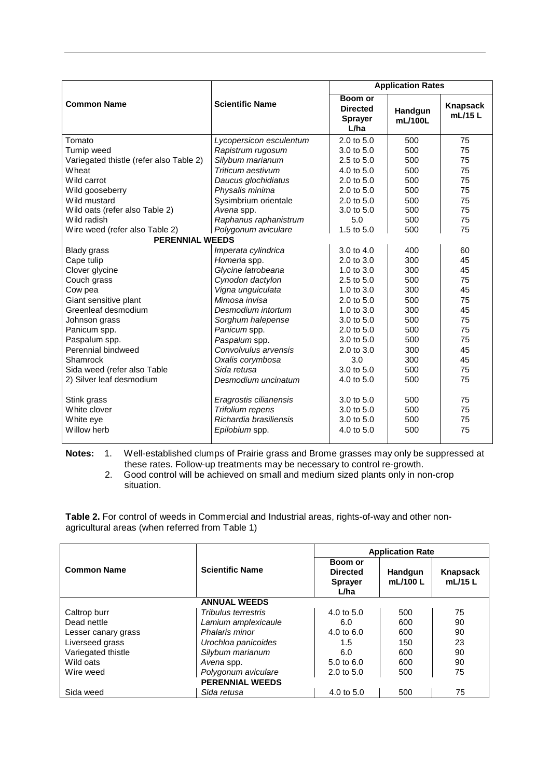|                                         |                         | <b>Application Rates</b>                             |                    |                     |  |
|-----------------------------------------|-------------------------|------------------------------------------------------|--------------------|---------------------|--|
| <b>Common Name</b>                      | <b>Scientific Name</b>  | Boom or<br><b>Directed</b><br><b>Sprayer</b><br>L/ha | Handgun<br>mL/100L | Knapsack<br>mL/15 L |  |
| Tomato                                  | Lycopersicon esculentum | $2.0 \text{ to } 5.0$                                | 500                | 75                  |  |
| Turnip weed                             | Rapistrum rugosum       | 3.0 to 5.0                                           | 500                | 75                  |  |
| Variegated thistle (refer also Table 2) | Silybum marianum        | 2.5 to 5.0                                           | 500                | 75                  |  |
| Wheat                                   | Triticum aestivum       | 4.0 to 5.0                                           | 500                | 75                  |  |
| Wild carrot                             | Daucus glochidiatus     | $2.0$ to $5.0$                                       | 500                | 75                  |  |
| Wild gooseberry                         | Physalis minima         | $2.0 \text{ to } 5.0$                                | 500                | 75                  |  |
| Wild mustard                            | Sysimbrium orientale    | $2.0 \text{ to } 5.0$                                | 500                | 75                  |  |
| Wild oats (refer also Table 2)          | Avena spp.              | 3.0 to 5.0                                           | 500                | 75                  |  |
| Wild radish                             | Raphanus raphanistrum   | 5.0                                                  | 500                | 75                  |  |
| Wire weed (refer also Table 2)          | Polygonum aviculare     | 1.5 to 5.0                                           | 500                | 75                  |  |
| <b>PERENNIAL WEEDS</b>                  |                         |                                                      |                    |                     |  |
| <b>Blady grass</b>                      | Imperata cylindrica     | 3.0 to 4.0                                           | 400                | 60                  |  |
| Cape tulip                              | Homeria spp.            | 2.0 to 3.0                                           | 300                | 45                  |  |
| Clover glycine                          | Glycine latrobeana      | 1.0 to $3.0$                                         | 300                | 45                  |  |
| Couch grass                             | Cynodon dactylon        | 2.5 to 5.0                                           | 500                | 75                  |  |
| Cow pea                                 | Vigna unguiculata       | 1.0 to $3.0$                                         | 300                | 45                  |  |
| Giant sensitive plant                   | Mimosa invisa           | 2.0 to 5.0                                           | 500                | 75                  |  |
| Greenleaf desmodium                     | Desmodium intortum      | 1.0 to 3.0                                           | 300                | 45                  |  |
| Johnson grass                           | Sorghum halepense       | 3.0 to 5.0                                           | 500                | 75                  |  |
| Panicum spp.                            | Panicum spp.            | 2.0 to 5.0                                           | 500                | 75                  |  |
| Paspalum spp.                           | Paspalum spp.           | 3.0 to 5.0                                           | 500                | 75                  |  |
| Perennial bindweed                      | Convolvulus arvensis    | $2.0$ to $3.0$                                       | 300                | 45                  |  |
| Shamrock                                | Oxalis corymbosa        | 3.0                                                  | 300                | 45                  |  |
| Sida weed (refer also Table             | Sida retusa             | 3.0 to 5.0                                           | 500                | 75                  |  |
| 2) Silver leaf desmodium                | Desmodium uncinatum     | 4.0 to 5.0                                           | 500                | 75                  |  |
| Stink grass                             | Eragrostis cilianensis  | 3.0 to 5.0                                           | 500                | 75                  |  |
| White clover                            | Trifolium repens        | 3.0 to 5.0                                           | 500                | 75                  |  |
| White eye                               | Richardia brasiliensis  | 3.0 to 5.0                                           | 500                | 75                  |  |
| Willow herb                             | Epilobium spp.          | 4.0 to $5.0$                                         | 500                | 75                  |  |

**Notes:** 1. Well-established clumps of Prairie grass and Brome grasses may only be suppressed at these rates. Follow-up treatments may be necessary to control re-growth.

2. Good control will be achieved on small and medium sized plants only in non-crop situation.

**Table 2.** For control of weeds in Commercial and Industrial areas, rights-of-way and other nonagricultural areas (when referred from Table 1)

|                     |                        | <b>Application Rate</b>                              |                     |                    |
|---------------------|------------------------|------------------------------------------------------|---------------------|--------------------|
| <b>Common Name</b>  | <b>Scientific Name</b> | Boom or<br><b>Directed</b><br><b>Sprayer</b><br>L/ha | Handqun<br>mL/100 L | Knapsack<br>mL/15L |
|                     | <b>ANNUAL WEEDS</b>    |                                                      |                     |                    |
| Caltrop burr        | Tribulus terrestris    | 4.0 to $5.0$                                         | 500                 | 75                 |
| Dead nettle         | Lamium amplexicaule    | 6.0                                                  | 600                 | 90                 |
| Lesser canary grass | Phalaris minor         | 4.0 to $6.0$                                         | 600                 | 90                 |
| Liverseed grass     | Urochloa panicoides    | 1.5                                                  | 150                 | 23                 |
| Variegated thistle  | Silybum marianum       | 6.0                                                  | 600                 | 90                 |
| Wild oats           | Avena spp.             | 5.0 to 6.0                                           | 600                 | 90                 |
| Wire weed           | Polygonum aviculare    | 2.0 to 5.0                                           | 500                 | 75                 |
|                     | <b>PERENNIAL WEEDS</b> |                                                      |                     |                    |
| Sida weed           | Sida retusa            | 4.0 to 5.0                                           | 500                 | 75                 |